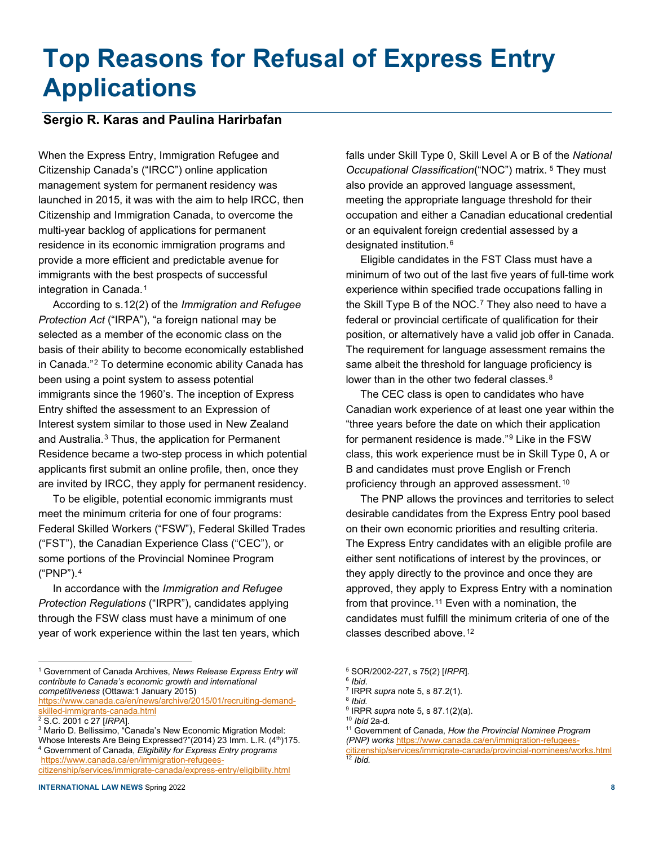# **Top Reasons for Refusal of Express Entry Applications**

## **Sergio R. Karas and Paulina Harirbafan**

When the Express Entry, Immigration Refugee and Citizenship Canada's ("IRCC") online application management system for permanent residency was launched in 2015, it was with the aim to help IRCC, then Citizenship and Immigration Canada, to overcome the multi-year backlog of applications for permanent residence in its economic immigration programs and provide a more efficient and predictable avenue for immigrants with the best prospects of successful integration in Canada.<sup>[1](#page-0-0)</sup>

According to s.12(2) of the *Immigration and Refugee Protection Act* ("IRPA"), "a foreign national may be selected as a member of the economic class on the basis of their ability to become economically established in Canada."[2](#page-0-1) To determine economic ability Canada has been using a point system to assess potential immigrants since the 1960's. The inception of Express Entry shifted the assessment to an Expression of Interest system similar to those used in New Zealand and Australia.[3](#page-0-2) Thus, the application for Permanent Residence became a two-step process in which potential applicants first submit an online profile, then, once they are invited by IRCC, they apply for permanent residency.

To be eligible, potential economic immigrants must meet the minimum criteria for one of four programs: Federal Skilled Workers ("FSW"), Federal Skilled Trades ("FST"), the Canadian Experience Class ("CEC"), or some portions of the Provincial Nominee Program ("PNP").[4](#page-0-3)

In accordance with the *Immigration and Refugee Protection Regulations* ("IRPR"), candidates applying through the FSW class must have a minimum of one year of work experience within the last ten years, which

<span id="page-0-6"></span><span id="page-0-5"></span>[https://www.canada.ca/en/news/archive/2015/01/recruiting-demand](about:blank)[skilled-immigrants-canada.html](about:blank)

<span id="page-0-3"></span><sup>4</sup> Government of Canada, *Eligibility for Express Entry programs* [https://www.canada.ca/en/immigration-refugees-](about:blank)

<span id="page-0-8"></span>[citizenship/services/immigrate-canada/express-entry/eligibility.html](about:blank) 

falls under Skill Type 0, Skill Level A or B of the *National Occupational Classification*("NOC") matrix. [5](#page-0-0) They must also provide an approved language assessment, meeting the appropriate language threshold for their occupation and either a Canadian educational credential or an equivalent foreign credential assessed by a designated institution.<sup>[6](#page-0-4)</sup>

Eligible candidates in the FST Class must have a minimum of two out of the last five years of full-time work experience within specified trade occupations falling in the Skill Type B of the NOC.<sup>[7](#page-0-5)</sup> They also need to have a federal or provincial certificate of qualification for their position, or alternatively have a valid job offer in Canada. The requirement for language assessment remains the same albeit the threshold for language proficiency is lower than in the other two federal classes.<sup>[8](#page-0-6)</sup>

The CEC class is open to candidates who have Canadian work experience of at least one year within the "three years before the date on which their application for permanent residence is made."<sup>[9](#page-0-7)</sup> Like in the FSW class, this work experience must be in Skill Type 0, A or B and candidates must prove English or French proficiency through an approved assessment.[10](#page-0-1)

The PNP allows the provinces and territories to select desirable candidates from the Express Entry pool based on their own economic priorities and resulting criteria. The Express Entry candidates with an eligible profile are either sent notifications of interest by the provinces, or they apply directly to the province and once they are approved, they apply to Express Entry with a nomination from that province.<sup>[11](#page-0-2)</sup> Even with a nomination, the candidates must fulfill the minimum criteria of one of the classes described above.[12](#page-0-8)

<sup>9</sup> IRPR *supra* note 5, s 87.1(2)(a).

<span id="page-0-4"></span><span id="page-0-0"></span><sup>1</sup> Government of Canada Archives, *News Release Express Entry will contribute to Canada's economic growth and international competitiveness* (Ottawa:1 January 2015)

<span id="page-0-7"></span><span id="page-0-1"></span><sup>2</sup> S.C. 2001 c 27 [*IRPA*].

<span id="page-0-2"></span><sup>3</sup> Mario D. Bellissimo, "Canada's New Economic Migration Model: Whose Interests Are Being Expressed?"(2014) 23 Imm. L.R. (4th)175.

<sup>5</sup> SOR/2002-227, s 75(2) [*IRPR*].

<sup>6</sup> *Ibid*.

<sup>7</sup> IRPR *supra* note 5, s 87.2(1). <sup>8</sup> *Ibid.*

<sup>10</sup> *Ibid* 2a-d*.*

<sup>11</sup> Government of Canada, *How the Provincial Nominee Program (PNP) works* [https://www.canada.ca/en/immigration-refugees](about:blank)[citizenship/services/immigrate-canada/provincial-nominees/works.html](about:blank) <sup>12</sup> *Ibid.*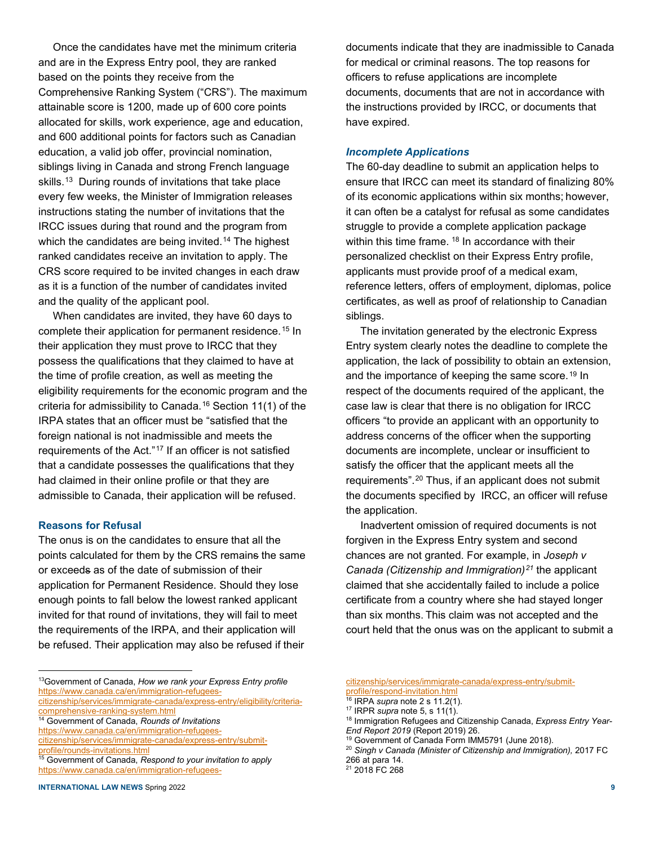Once the candidates have met the minimum criteria and are in the Express Entry pool, they are ranked based on the points they receive from the Comprehensive Ranking System ("CRS"). The maximum attainable score is 1200, made up of 600 core points allocated for skills, work experience, age and education, and 600 additional points for factors such as Canadian education, a valid job offer, provincial nomination, siblings living in Canada and strong French language skills.<sup>[13](#page-1-0)</sup> During rounds of invitations that take place every few weeks, the Minister of Immigration releases instructions stating the number of invitations that the IRCC issues during that round and the program from which the candidates are being invited.<sup>[14](#page-1-1)</sup> The highest ranked candidates receive an invitation to apply. The CRS score required to be invited changes in each draw as it is a function of the number of candidates invited and the quality of the applicant pool.

When candidates are invited, they have 60 days to complete their application for permanent residence.[15](#page-1-2) In their application they must prove to IRCC that they possess the qualifications that they claimed to have at the time of profile creation, as well as meeting the eligibility requirements for the economic program and the criteria for admissibility to Canada.[16](#page-1-3) Section 11(1) of the IRPA states that an officer must be "satisfied that the foreign national is not inadmissible and meets the requirements of the Act."[17](#page-1-4) If an officer is not satisfied that a candidate possesses the qualifications that they had claimed in their online profile or that they are admissible to Canada, their application will be refused.

## **Reasons for Refusal**

The onus is on the candidates to ensure that all the points calculated for them by the CRS remains the same or exceeds as of the date of submission of their application for Permanent Residence. Should they lose enough points to fall below the lowest ranked applicant invited for that round of invitations, they will fail to meet the requirements of the IRPA, and their application will be refused. Their application may also be refused if their

<span id="page-1-0"></span>13Government of Canada, *How we rank your Express Entry profile* [https://www.canada.ca/en/immigration-refugees-](about:blank)

- <span id="page-1-4"></span><span id="page-1-1"></span><sup>14</sup> Government of Canada, *Rounds of Invitations* [https://www.canada.ca/en/immigration-refugees-](about:blank)
- <span id="page-1-6"></span><span id="page-1-5"></span>[citizenship/services/immigrate-canada/express-entry/submit-](about:blank)
- <span id="page-1-7"></span><span id="page-1-2"></span> $\frac{15}{15}$  Government of Canada, *Respond to your invitation to apply* [https://www.canada.ca/en/immigration-refugees-](about:blank)

documents indicate that they are inadmissible to Canada for medical or criminal reasons. The top reasons for officers to refuse applications are incomplete documents, documents that are not in accordance with the instructions provided by IRCC, or documents that have expired.

### *Incomplete Applications*

The 60-day deadline to submit an application helps to ensure that IRCC can meet its standard of finalizing 80% of its economic applications within six months; however, it can often be a catalyst for refusal as some candidates struggle to provide a complete application package within this time frame. <sup>[18](#page-1-1)</sup> In accordance with their personalized checklist on their Express Entry profile, applicants must provide proof of a medical exam, reference letters, offers of employment, diplomas, police certificates, as well as proof of relationship to Canadian siblings.

The invitation generated by the electronic Express Entry system clearly notes the deadline to complete the application, the lack of possibility to obtain an extension, and the importance of keeping the same score.<sup>[19](#page-1-5)</sup> In respect of the documents required of the applicant, the case law is clear that there is no obligation for IRCC officers "to provide an applicant with an opportunity to address concerns of the officer when the supporting documents are incomplete, unclear or insufficient to satisfy the officer that the applicant meets all the requirements".[20](#page-1-6) Thus, if an applicant does not submit the documents specified by IRCC, an officer will refuse the application.

Inadvertent omission of required documents is not forgiven in the Express Entry system and second chances are not granted. For example, in *Joseph v Canada (Citizenship and Immigration)[21](#page-1-7)* the applicant claimed that she accidentally failed to include a police certificate from a country where she had stayed longer than six months. This claim was not accepted and the court held that the onus was on the applicant to submit a

- <sup>18</sup> Immigration Refugees and Citizenship Canada, *Express Entry Year-End Report 2019* (Report 2019) 26.
- <sup>19</sup> Government of Canada Form IMM5791 (June 2018).

<span id="page-1-3"></span>[citizenship/services/immigrate-canada/express-entry/eligibility/criteria-](about:blank)

[citizenship/services/immigrate-canada/express-entry/submit](about:blank)[profile/respond-invitation.html](about:blank)

<sup>16</sup> IRPA *supra* note 2 s 11.2(1).

<sup>17</sup> IRPR *supra* note 5, s 11(1).

<sup>20</sup> *Singh v Canada (Minister of Citizenship and Immigration),* 2017 FC 266 at para 14. <sup>21</sup> 2018 FC 268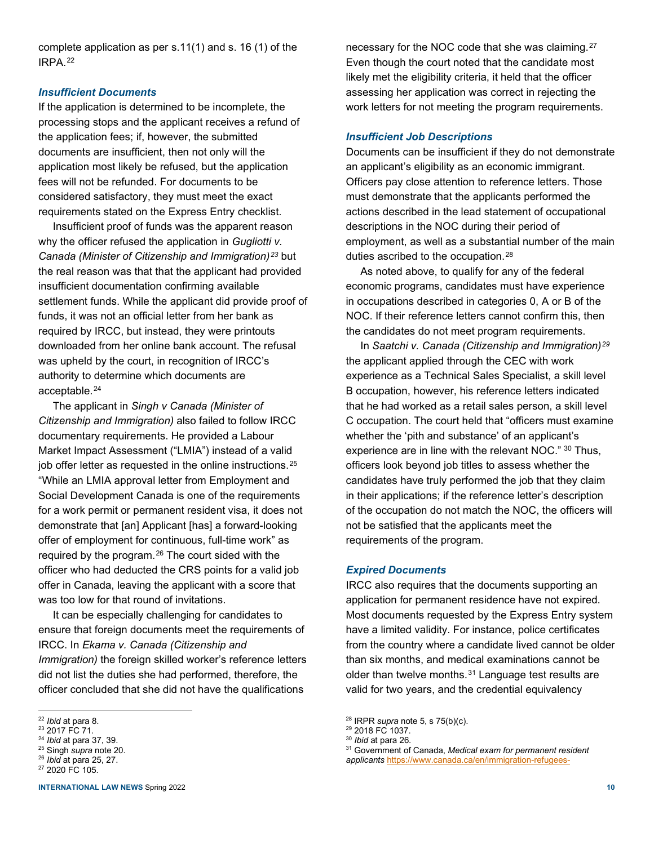complete application as per s.11(1) and s. 16 (1) of the IRPA.[22](#page-2-0)

#### *Insufficient Documents*

If the application is determined to be incomplete, the processing stops and the applicant receives a refund of the application fees; if, however, the submitted documents are insufficient, then not only will the application most likely be refused, but the application fees will not be refunded. For documents to be considered satisfactory, they must meet the exact requirements stated on the Express Entry checklist.

Insufficient proof of funds was the apparent reason why the officer refused the application in *Gugliotti v. Canada (Minister of Citizenship and Immigration)[23](#page-2-1)* but the real reason was that that the applicant had provided insufficient documentation confirming available settlement funds. While the applicant did provide proof of funds, it was not an official letter from her bank as required by IRCC, but instead, they were printouts downloaded from her online bank account. The refusal was upheld by the court, in recognition of IRCC's authority to determine which documents are acceptable.[24](#page-2-2)

The applicant in *Singh v Canada (Minister of Citizenship and Immigration)* also failed to follow IRCC documentary requirements. He provided a Labour Market Impact Assessment ("LMIA") instead of a valid job offer letter as requested in the online instructions.<sup>[25](#page-2-3)</sup> "While an LMIA approval letter from Employment and Social Development Canada is one of the requirements for a work permit or permanent resident visa, it does not demonstrate that [an] Applicant [has] a forward-looking offer of employment for continuous, full-time work" as required by the program.[26](#page-2-4) The court sided with the officer who had deducted the CRS points for a valid job offer in Canada, leaving the applicant with a score that was too low for that round of invitations.

It can be especially challenging for candidates to ensure that foreign documents meet the requirements of IRCC. In *Ekama v. Canada (Citizenship and Immigration)* the foreign skilled worker's reference letters did not list the duties she had performed, therefore, the officer concluded that she did not have the qualifications

**INTERNATIONAL LAW NEWS** Spring 2022 **10**

necessary for the NOC code that she was claiming.<sup>[27](#page-2-5)</sup> Even though the court noted that the candidate most likely met the eligibility criteria, it held that the officer assessing her application was correct in rejecting the work letters for not meeting the program requirements.

#### *Insufficient Job Descriptions*

Documents can be insufficient if they do not demonstrate an applicant's eligibility as an economic immigrant. Officers pay close attention to reference letters. Those must demonstrate that the applicants performed the actions described in the lead statement of occupational descriptions in the NOC during their period of employment, as well as a substantial number of the main duties ascribed to the occupation.<sup>[28](#page-2-0)</sup>

As noted above, to qualify for any of the federal economic programs, candidates must have experience in occupations described in categories 0, A or B of the NOC. If their reference letters cannot confirm this, then the candidates do not meet program requirements.

In *Saatchi v. Canada (Citizenship and Immigration)[29](#page-2-1)* the applicant applied through the CEC with work experience as a Technical Sales Specialist, a skill level B occupation, however, his reference letters indicated that he had worked as a retail sales person, a skill level C occupation. The court held that "officers must examine whether the 'pith and substance' of an applicant's experience are in line with the relevant NOC." [30](#page-2-2) Thus, officers look beyond job titles to assess whether the candidates have truly performed the job that they claim in their applications; if the reference letter's description of the occupation do not match the NOC, the officers will not be satisfied that the applicants meet the requirements of the program.

## *Expired Documents*

IRCC also requires that the documents supporting an application for permanent residence have not expired. Most documents requested by the Express Entry system have a limited validity. For instance, police certificates from the country where a candidate lived cannot be older than six months, and medical examinations cannot be older than twelve months.<sup>[31](#page-2-3)</sup> Language test results are valid for two years, and the credential equivalency

<span id="page-2-0"></span><sup>22</sup> *Ibid* at para 8.

<span id="page-2-1"></span><sup>23</sup> 2017 FC 71.

<span id="page-2-2"></span><sup>24</sup> *Ibid* at para 37, 39.

<span id="page-2-3"></span><sup>25</sup> Singh *supra* note 20. <sup>26</sup> *Ibid* at para 25, 27.

<span id="page-2-5"></span><span id="page-2-4"></span><sup>27</sup> 2020 FC 105.

<sup>28</sup> IRPR *supra* note 5, s 75(b)(c).

<sup>29</sup> 2018 FC 1037.

<sup>30</sup> *Ibid* at para 26.

<sup>31</sup> Government of Canada, *Medical exam for permanent resident applicants* [https://www.canada.ca/en/immigration-refugees-](about:blank)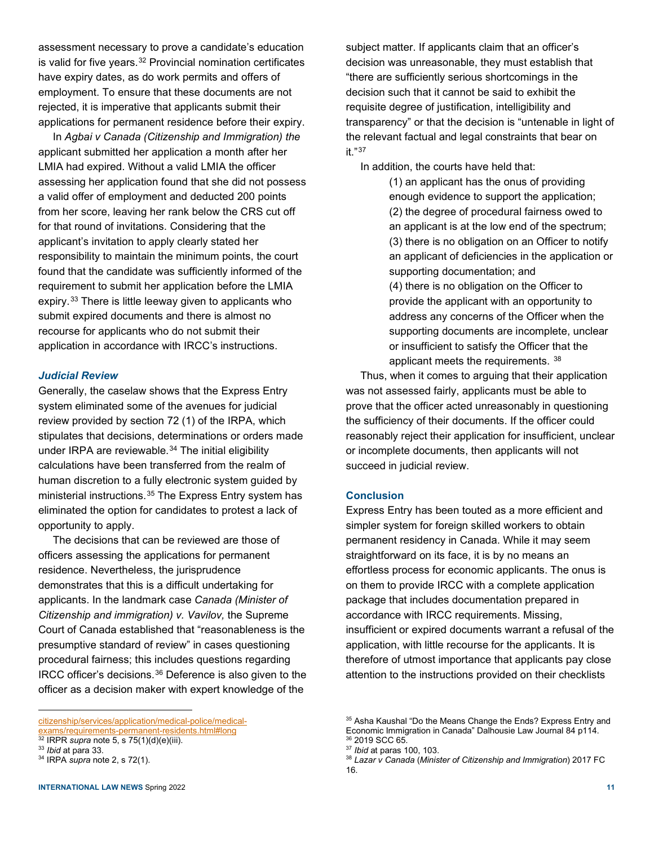assessment necessary to prove a candidate's education is valid for five years.<sup>[32](#page-3-0)</sup> Provincial nomination certificates have expiry dates, as do work permits and offers of employment. To ensure that these documents are not rejected, it is imperative that applicants submit their applications for permanent residence before their expiry.

In *Agbai v Canada (Citizenship and Immigration) the* applicant submitted her application a month after her LMIA had expired. Without a valid LMIA the officer assessing her application found that she did not possess a valid offer of employment and deducted 200 points from her score, leaving her rank below the CRS cut off for that round of invitations. Considering that the applicant's invitation to apply clearly stated her responsibility to maintain the minimum points, the court found that the candidate was sufficiently informed of the requirement to submit her application before the LMIA expiry.[33](#page-3-1) There is little leeway given to applicants who submit expired documents and there is almost no recourse for applicants who do not submit their application in accordance with IRCC's instructions.

## *Judicial Review*

Generally, the caselaw shows that the Express Entry system eliminated some of the avenues for judicial review provided by section 72 (1) of the IRPA, which stipulates that decisions, determinations or orders made under IRPA are reviewable.<sup>[34](#page-3-2)</sup> The initial eligibility calculations have been transferred from the realm of human discretion to a fully electronic system guided by ministerial instructions.[35](#page-3-3) The Express Entry system has eliminated the option for candidates to protest a lack of opportunity to apply.

The decisions that can be reviewed are those of officers assessing the applications for permanent residence. Nevertheless, the jurisprudence demonstrates that this is a difficult undertaking for applicants. In the landmark case *Canada (Minister of Citizenship and immigration) v. Vavilov,* the Supreme Court of Canada established that "reasonableness is the presumptive standard of review" in cases questioning procedural fairness; this includes questions regarding IRCC officer's decisions.[36](#page-3-0) Deference is also given to the officer as a decision maker with expert knowledge of the

subject matter. If applicants claim that an officer's decision was unreasonable, they must establish that "there are sufficiently serious shortcomings in the decision such that it cannot be said to exhibit the requisite degree of justification, intelligibility and transparency" or that the decision is "untenable in light of the relevant factual and legal constraints that bear on it."[37](#page-3-1)

In addition, the courts have held that:

(1) an applicant has the onus of providing enough evidence to support the application; (2) the degree of procedural fairness owed to an applicant is at the low end of the spectrum; (3) there is no obligation on an Officer to notify an applicant of deficiencies in the application or supporting documentation; and (4) there is no obligation on the Officer to provide the applicant with an opportunity to address any concerns of the Officer when the supporting documents are incomplete, unclear or insufficient to satisfy the Officer that the applicant meets the requirements. [38](#page-3-2)

Thus, when it comes to arguing that their application was not assessed fairly, applicants must be able to prove that the officer acted unreasonably in questioning the sufficiency of their documents. If the officer could reasonably reject their application for insufficient, unclear or incomplete documents, then applicants will not succeed in judicial review.

#### **Conclusion**

Express Entry has been touted as a more efficient and simpler system for foreign skilled workers to obtain permanent residency in Canada. While it may seem straightforward on its face, it is by no means an effortless process for economic applicants. The onus is on them to provide IRCC with a complete application package that includes documentation prepared in accordance with IRCC requirements. Missing, insufficient or expired documents warrant a refusal of the application, with little recourse for the applicants. It is therefore of utmost importance that applicants pay close attention to the instructions provided on their checklists

<span id="page-3-3"></span>[citizenship/services/application/medical-police/medical-](about:blank)

<span id="page-3-0"></span>**Example 20 Example 3.**<br><sup>32</sup> IRPR *supra* note 5, s 75(1)(d)(e)(iii). <sup>33</sup> *Ibid* at para 33.

<span id="page-3-2"></span><span id="page-3-1"></span><sup>34</sup> IRPA *supra* note 2, s 72(1).

<sup>&</sup>lt;sup>35</sup> Asha Kaushal "Do the Means Change the Ends? Express Entry and Economic Immigration in Canada" Dalhousie Law Journal 84 p114. <sup>36</sup> 2019 SCC 65.

<sup>37</sup> *Ibid* at paras 100, 103.

<sup>38</sup> *Lazar v Canada* (*Minister of Citizenship and Immigration*) 2017 FC 16.